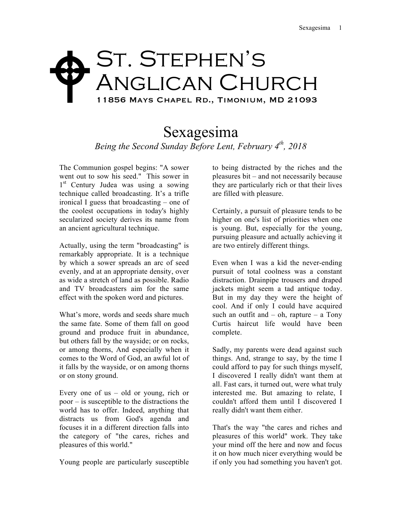## ST. STEPHEN'S ANGLICAN CHURCH 11856 Mays Chapel Rd., Timonium, MD 21093  $\blacklozenge$

## Sexagesima *Being the Second Sunday Before Lent, February 4th, 2018*

The Communion gospel begins: "A sower went out to sow his seed." This sower in 1<sup>st</sup> Century Judea was using a sowing technique called broadcasting. It's a trifle ironical I guess that broadcasting – one of the coolest occupations in today's highly secularized society derives its name from an ancient agricultural technique.

Actually, using the term "broadcasting" is remarkably appropriate. It is a technique by which a sower spreads an arc of seed evenly, and at an appropriate density, over as wide a stretch of land as possible. Radio and TV broadcasters aim for the same effect with the spoken word and pictures.

What's more, words and seeds share much the same fate. Some of them fall on good ground and produce fruit in abundance, but others fall by the wayside; or on rocks, or among thorns, And especially when it comes to the Word of God, an awful lot of it falls by the wayside, or on among thorns or on stony ground.

Every one of us – old or young, rich or poor – is susceptible to the distractions the world has to offer. Indeed, anything that distracts us from God's agenda and focuses it in a different direction falls into the category of "the cares, riches and pleasures of this world."

Young people are particularly susceptible

to being distracted by the riches and the pleasures bit – and not necessarily because they are particularly rich or that their lives are filled with pleasure.

Certainly, a pursuit of pleasure tends to be higher on one's list of priorities when one is young. But, especially for the young, pursuing pleasure and actually achieving it are two entirely different things.

Even when I was a kid the never-ending pursuit of total coolness was a constant distraction. Drainpipe trousers and draped jackets might seem a tad antique today. But in my day they were the height of cool. And if only I could have acquired such an outfit and  $-$  oh, rapture  $-$  a Tony Curtis haircut life would have been complete.

Sadly, my parents were dead against such things. And, strange to say, by the time I could afford to pay for such things myself, I discovered I really didn't want them at all. Fast cars, it turned out, were what truly interested me. But amazing to relate, I couldn't afford them until I discovered I really didn't want them either.

That's the way "the cares and riches and pleasures of this world" work. They take your mind off the here and now and focus it on how much nicer everything would be if only you had something you haven't got.